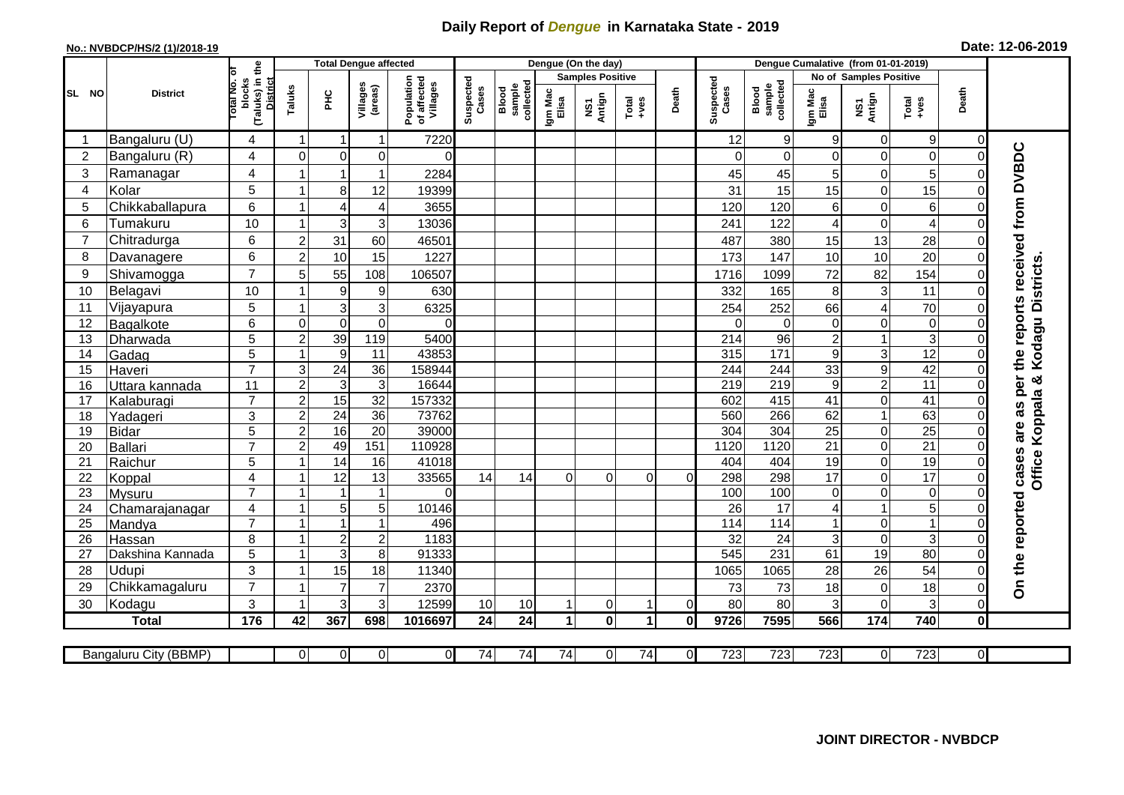## **Daily Report of** *Dengue* **in Karnataka State - 2019**

## **No.: NVBDCP/HS/2 (1)/2018-19 Date: 12-06-2019**

|                 |                            |                                                             |                |                                  | <b>Total Dengue affected</b> |                                       |                    |                              |                      | Dengue (On the day)     |                      |                |                    |                              |                  |                         |                                                                      |                      |                                 |
|-----------------|----------------------------|-------------------------------------------------------------|----------------|----------------------------------|------------------------------|---------------------------------------|--------------------|------------------------------|----------------------|-------------------------|----------------------|----------------|--------------------|------------------------------|------------------|-------------------------|----------------------------------------------------------------------|----------------------|---------------------------------|
|                 |                            |                                                             |                |                                  |                              |                                       |                    |                              |                      | <b>Samples Positive</b> |                      |                |                    |                              |                  | No of Samples Positive  |                                                                      |                      |                                 |
| SL NO           | <b>District</b>            | (Taluks) in the<br>otal No. of<br>blocks<br><b>District</b> | Taluks         | Ξ                                | Villages<br>(areas)          | Population<br>of affected<br>Villages | Suspected<br>Cases | sample<br>collected<br>Blood | Igm Mac<br>Elisa     | NS1<br>Antign           | $Tota$<br>$+ves$     | Death          | Suspected<br>Cases | Blood<br>sample<br>collected | Igm Mac<br>Elisa | NS1<br>Antign           | $\begin{array}{c}\n\text{Total} \\ \text{1} & \text{1}\n\end{array}$ | Death                |                                 |
|                 | Bangaluru (U)              | 4                                                           | -1             |                                  | 1                            | 7220                                  |                    |                              |                      |                         |                      |                | 12                 | 9                            | 9                | $\mathbf 0$             | 9                                                                    | 0                    |                                 |
| $\overline{2}$  | Bangaluru (R)              | 4                                                           | $\mathbf 0$    | $\mathbf 0$                      | $\mathbf 0$                  | $\Omega$                              |                    |                              |                      |                         |                      |                | $\Omega$           | $\mathbf 0$                  | $\overline{O}$   | $\mathbf 0$             | $\mathbf 0$                                                          | $\Omega$             |                                 |
| 3               | Ramanagar                  | 4                                                           |                |                                  | 1                            | 2284                                  |                    |                              |                      |                         |                      |                | 45                 | 45                           | 5                | $\mathbf 0$             | 5                                                                    | $\Omega$             | the reports received from DVBDC |
| $\overline{4}$  | Kolar                      | 5                                                           |                | 8                                | 12                           | 19399                                 |                    |                              |                      |                         |                      |                | 31                 | 15                           | 15               | $\mathbf 0$             | 15                                                                   | $\overline{0}$       |                                 |
| 5               | Chikkaballapura            | $6\phantom{1}$                                              |                | 4                                | 4                            | 3655                                  |                    |                              |                      |                         |                      |                | 120                | 120                          | 6                | $\mathbf 0$             | 6                                                                    | $\Omega$             |                                 |
| 6               | Tumakuru                   | 10                                                          |                | 3                                | 3                            | 13036                                 |                    |                              |                      |                         |                      |                | 241                | 122                          | 4                | $\boldsymbol{0}$        | 4                                                                    | $\Omega$             |                                 |
| $\overline{7}$  | Chitradurga                | $6\phantom{1}$                                              | $\overline{2}$ | 31                               | 60                           | 46501                                 |                    |                              |                      |                         |                      |                | 487                | 380                          | 15               | 13                      | 28                                                                   | $\Omega$             |                                 |
| 8               | Davanagere                 | $6\phantom{1}$                                              | $\overline{2}$ | 10                               | 15                           | 1227                                  |                    |                              |                      |                         |                      |                | 173                | 147                          | 10               | 10                      | 20                                                                   | $\Omega$             |                                 |
| 9               | Shivamogga                 | $\overline{7}$                                              | 5              | 55                               | 108                          | 106507                                |                    |                              |                      |                         |                      |                | 1716               | 1099                         | 72               | 82                      | 154                                                                  | $\Omega$             | Kodagu Districts                |
| 10              | Belagavi                   | 10                                                          |                | 9                                | $\boldsymbol{9}$             | 630                                   |                    |                              |                      |                         |                      |                | 332                | 165                          | 8                | 3                       | 11                                                                   | $\Omega$             |                                 |
| 11              | Vijayapura                 | 5                                                           |                | 3                                | 3                            | 6325                                  |                    |                              |                      |                         |                      |                | 254                | 252                          | 66               | $\overline{\mathbf{4}}$ | 70                                                                   | $\Omega$             |                                 |
| 12              | Bagalkote                  | $6\phantom{1}$                                              | $\mathbf 0$    | $\mathbf 0$                      | $\mathbf 0$                  | $\Omega$                              |                    |                              |                      |                         |                      |                | $\Omega$           | $\Omega$                     | $\overline{O}$   | $\mathbf 0$             | $\mathbf 0$                                                          | $\Omega$             |                                 |
| 13              | Dharwada                   | $\overline{5}$                                              | $\overline{2}$ | 39                               | 119                          | 5400                                  |                    |                              |                      |                         |                      |                | $\overline{214}$   | 96                           | $\overline{2}$   | $\overline{1}$          | $\overline{3}$                                                       | $\Omega$             |                                 |
| 14              | Gadag                      | 5                                                           |                | 9                                | 11                           | 43853                                 |                    |                              |                      |                         |                      |                | 315                | $\frac{1}{171}$              | $\boldsymbol{9}$ | 3                       | 12                                                                   | $\Omega$             |                                 |
| 15              | Haveri                     | $\overline{7}$                                              | 3              | $\overline{24}$                  | $\overline{36}$              | 158944                                |                    |                              |                      |                         |                      |                | 244                | 244                          | 33               | $\overline{9}$          | 42                                                                   | $\Omega$             |                                 |
| 16              | Uttara kannada             | 11                                                          | $\overline{2}$ | $\mathbf{3}$                     | 3                            | 16644                                 |                    |                              |                      |                         |                      |                | 219                | 219                          | $\overline{9}$   | $\mathbf 2$             | $\overline{11}$                                                      | 0                    | per                             |
| 17              | Kalaburagi                 | $\overline{7}$                                              | $\overline{2}$ | 15                               | $\overline{32}$              | 157332                                |                    |                              |                      |                         |                      |                | 602                | 415                          | $\overline{41}$  | $\mathbf 0$             | $\overline{41}$                                                      | $\Omega$             | as                              |
| 18              | Yadageri                   | 3                                                           | $\overline{2}$ | 24                               | 36                           | 73762                                 |                    |                              |                      |                         |                      |                | 560                | 266                          | 62               | $\mathbf{1}$            | 63                                                                   | 0                    |                                 |
| 19              | Bidar                      | 5                                                           | $\overline{2}$ | 16                               | $\overline{20}$              | 39000                                 |                    |                              |                      |                         |                      |                | 304                | 304                          | $\overline{25}$  | $\mathbf 0$             | $\overline{25}$                                                      | $\Omega$             | are                             |
| 20              | Ballari                    | $\overline{7}$                                              | $\overline{2}$ | 49                               | 151                          | 110928                                |                    |                              |                      |                         |                      |                | 1120               | 1120                         | $\overline{21}$  | $\overline{0}$          | $\overline{21}$                                                      | 0                    |                                 |
| 21              | Raichur                    | 5                                                           |                | 14                               | 16                           | 41018                                 |                    |                              |                      |                         |                      |                | 404                | 404                          | $\overline{19}$  | $\mathbf 0$             | 19                                                                   | 0                    | Office Koppala &<br>cases       |
| 22              | Koppal                     | $\overline{4}$                                              |                | 12                               | 13                           | 33565                                 | 14                 | 14                           | $\Omega$             | $\Omega$                | $\Omega$             | $\Omega$       | 298                | 298                          | $\overline{17}$  | $\mathbf 0$             | $\overline{17}$                                                      | $\Omega$             |                                 |
| 23              | Mysuru                     | $\overline{7}$                                              |                |                                  | 1                            | $\Omega$                              |                    |                              |                      |                         |                      |                | 100                | 100                          | $\pmb{0}$        | $\mathbf 0$             | $\mathbf 0$                                                          | $\Omega$             |                                 |
| 24              | Chamarajanagar             | $\overline{4}$<br>$\overline{7}$                            |                | 5                                | 5<br>1                       | 10146                                 |                    |                              |                      |                         |                      |                | 26                 | $\overline{17}$              | 4                | $\mathbf{1}$            | $\overline{5}$                                                       | $\Omega$             |                                 |
| $\overline{25}$ | Mandya                     |                                                             |                |                                  |                              | 496<br>1183                           |                    |                              |                      |                         |                      |                | 114                | 114                          | $\mathbf{1}$     | $\mathbf 0$             | $\mathbf{1}$<br>3                                                    | $\Omega$             |                                 |
| 26<br>27        | Hassan<br>Dakshina Kannada | 8<br>$\overline{5}$                                         |                | $\overline{2}$<br>$\overline{3}$ | $\overline{c}$<br>8          | 91333                                 |                    |                              |                      |                         |                      |                | 32<br>545          | 24<br>231                    | 3<br>61          | $\mathbf 0$<br>19       | 80                                                                   | $\Omega$<br>$\Omega$ |                                 |
| 28              | <b>Udupi</b>               | 3                                                           |                | 15                               | 18                           | 11340                                 |                    |                              |                      |                         |                      |                | 1065               | 1065                         | 28               | 26                      | 54                                                                   | 0                    |                                 |
| 29              | Chikkamagaluru             | $\overline{7}$                                              |                | $\overline{7}$                   | $\overline{7}$               | 2370                                  |                    |                              |                      |                         |                      |                | 73                 | 73                           | 18               | $\mathbf 0$             | 18                                                                   | 0                    | On the reported                 |
| 30              | Kodagu                     | 3                                                           |                | 3                                | 3                            | 12599                                 | 10                 | 10                           |                      | 0                       |                      | $\Omega$       | 80                 | 80                           | 3                | $\mathbf 0$             | 3                                                                    | $\mathbf 0$          |                                 |
|                 | <b>Total</b>               | 176                                                         | 42             | 367                              | 698                          | 1016697                               | 24                 | 24                           | $\blacktriangleleft$ | $\mathbf{0}$            | $\blacktriangleleft$ | $\mathbf{0}$   | 9726               | 7595                         | 566              | 174                     | 740                                                                  | $\mathbf{0}$         |                                 |
|                 |                            |                                                             |                |                                  |                              |                                       |                    |                              |                      |                         |                      |                |                    |                              |                  |                         |                                                                      |                      |                                 |
|                 | Bangaluru City (BBMP)      |                                                             | $\overline{0}$ | $\overline{0}$                   | $\overline{0}$               | $\overline{0}$                        | 74                 | 74                           | 74                   | $\Omega$                | 74                   | $\overline{0}$ | 723                | 723                          | $\overline{723}$ | $\overline{0}$          | 723                                                                  | $\overline{0}$       |                                 |